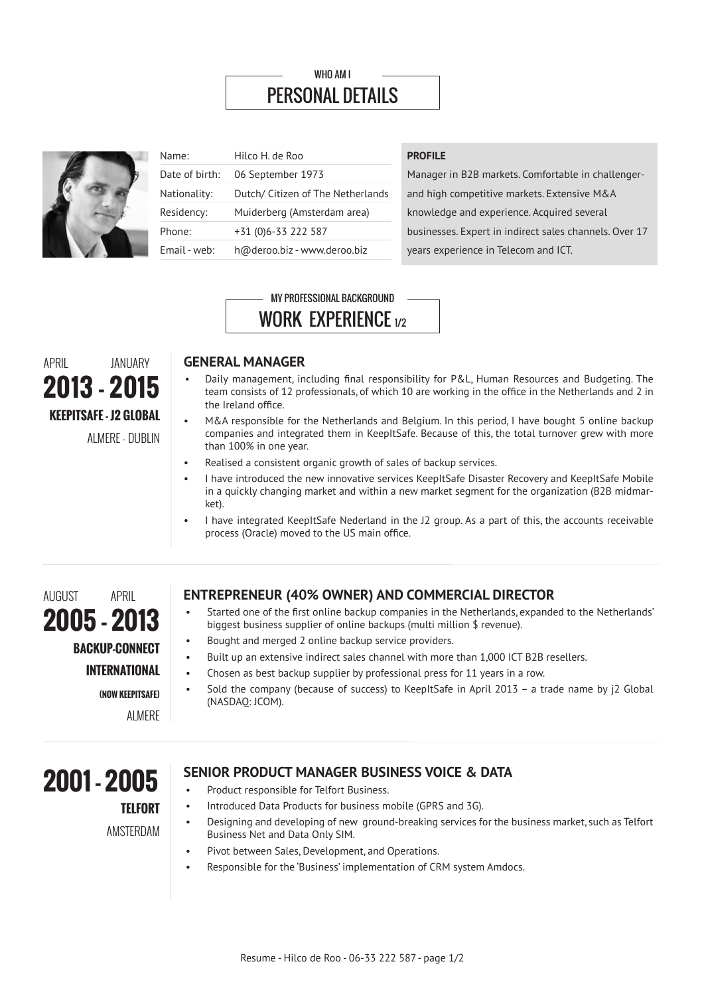# WHO AM I PERSONAL DETAILS



| Name:          | Hilco H. de Roo                   |
|----------------|-----------------------------------|
| Date of birth: | 06 September 1973                 |
| Nationality:   | Dutch/ Citizen of The Netherlands |
| Residency:     | Muiderberg (Amsterdam area)       |
| Phone:         | +31 (0)6-33 222 587               |
| Email - web:   | h@deroo.biz - www.deroo.biz       |

#### **PROFILE**

Manager in B2B markets. Comfortable in challengerand high competitive markets. Extensive M&A knowledge and experience. Acquired several businesses. Expert in indirect sales channels. Over 17 years experience in Telecom and ICT.

## MY PROFESSIONAL BACKGROUND WORK EXPERIENCE 1/2

APRIL JANUARY **2013 - 2015 KEEPITSAFE - J2 GLOBAL**

ALMERE - DUBLIN

#### **GENERAL MANAGER**

- Daily management, including final responsibility for P&L, Human Resources and Budgeting. The team consists of 12 professionals, of which 10 are working in the office in the Netherlands and 2 in the Ireland office.
- M&A responsible for the Netherlands and Belgium. In this period, I have bought 5 online backup companies and integrated them in KeepItSafe. Because of this, the total turnover grew with more than 100% in one year.
- Realised a consistent organic growth of sales of backup services.
- I have introduced the new innovative services KeepItSafe Disaster Recovery and KeepItSafe Mobile in a quickly changing market and within a new market segment for the organization (B2B midmarket).
- I have integrated KeepItSafe Nederland in the J2 group. As a part of this, the accounts receivable process (Oracle) moved to the US main office.

AUGUST APRIL **2005 - 2013 BACKUP-CONNECT INTERNATIONAL (NOW KEEPITSAFE)**

ALMERE

#### **ENTREPRENEUR (40% OWNER) AND COMMERCIAL DIRECTOR**

- Started one of the first online backup companies in the Netherlands, expanded to the Netherlands' biggest business supplier of online backups (multi million \$ revenue).
- Bought and merged 2 online backup service providers.
- Built up an extensive indirect sales channel with more than 1,000 ICT B2B resellers.
- Chosen as best backup supplier by professional press for 11 years in a row.
- Sold the company (because of success) to KeepItSafe in April 2013 a trade name by j2 Global (NASDAQ: JCOM).

# **2001 - 2005 TELFORT**  AMSTERDAM

#### **SENIOR PRODUCT MANAGER BUSINESS VOICE & DATA**

- Product responsible for Telfort Business.
- Introduced Data Products for business mobile (GPRS and 3G).
- Designing and developing of new ground-breaking services for the business market, such as Telfort Business Net and Data Only SIM.
- Pivot between Sales, Development, and Operations.
- Responsible for the 'Business' implementation of CRM system Amdocs.